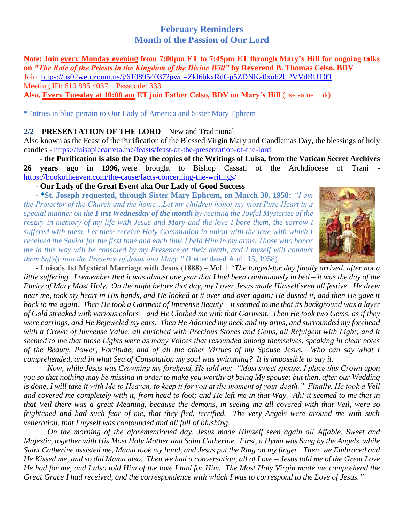# **February Reminders Month of the Passion of Our Lord**

**Note: Join every Monday evening from 7:00pm ET to 7:45pm ET through Mary's Hill for ongoing talks on** *"The Role of the Priests in the Kingdom of the Divine Will"* **by Reverend B. Thomas Celso, BDV**  Join: [https://us02web.zoom.us/j/6108954037?pwd=Zkl6bkxRdGp5ZDNKa0xob2U2VVdBUT09](https://na01.safelinks.protection.outlook.com/?url=https%3A%2F%2Fwww.google.com%2Furl%3Fq%3Dhttps%3A%2F%2Fus02web.zoom.us%2Fj%2F6108954037%3Fpwd%253DZkl6bkxRdGp5ZDNKa0xob2U2VVdBUT09%26sa%3DD%26source%3Dcalendar%26ust%3D1601847677486000%26usg%3DAOvVaw1W6iaWwiF-hLYnYU1tzjgI&data=04%7C01%7C%7C6081fcb324594bdd25e908d9e11a9d0b%7C84df9e7fe9f640afb435aaaaaaaaaaaa%7C1%7C0%7C637788326716943782%7CUnknown%7CTWFpbGZsb3d8eyJWIjoiMC4wLjAwMDAiLCJQIjoiV2luMzIiLCJBTiI6Ik1haWwiLCJXVCI6Mn0%3D%7C3000&sdata=UM4GMMdaahIA6tLbT6wBXmbNXLB1CA9UoeUlatc%2FjBM%3D&reserved=0) Meeting ID: 610 895 4037 Passcode: 333 **Also, Every Tuesday at 10:00 am ET join Father Celso, BDV on Mary's Hill** (use same link)

#### \*Entries in blue pertain to Our Lady of America and Sister Mary Ephrem

#### **2/2** – **PRESENTATION OF THE LORD** – New and Traditional

Also known as the Feast of the Purification of the Blessed Virgin Mary and Candlemas Day, the blessings of holy candles - <https://luisapiccarreta.me/feasts/feast-of-the-presentation-of-the-lord>

 **- the Purification is also the Day the copies of the Writings of Luisa, from the Vatican Secret Archives 26 years ago in 1996,** were brought to Bishop Cassati of the Archdiocese of Trani <https://bookofheaven.com/the-cause/facts-concerning-the-writings/>

- **Our Lady of the Great Event aka Our Lady of Good Success**

 **- \*St. Joseph requested, through Sister Mary Ephrem, on March 30, 1958:** *"I am the Protector of the Church and the home…Let my children honor my most Pure Heart in a special manner on the First Wednesday of the month by reciting the Joyful Mysteries of the rosary in memory of my life with Jesus and Mary and the love I bore them, the sorrow I suffered with them. Let them receive Holy Communion in union with the love with which I received the Savior for the first time and each time I held Him in my arms. Those who honor me in this way will be consoled by my Presence at their death, and I myself will conduct them Safely into the Presence of Jesus and Mary."* (Letter dated April 15, 1958)



 - **Luisa's 1st Mystical Marriage with Jesus (1888)** – Vol 1 *"The longed-for day finally arrived, after not a little suffering. I remember that it was almost one year that I had been continuously in bed – it was the day of the Purity of Mary Most Holy. On the night before that day, my Lover Jesus made Himself seen all festive. He drew near me, took my heart in His hands, and He looked at it over and over again; He dusted it, and then He gave it back to me again. Then He took a Garment of Immense Beauty – it seemed to me that its background was a layer of Gold streaked with various colors – and He Clothed me with that Garment. Then He took two Gems, as if they were earrings, and He Bejeweled my ears. Then He Adorned my neck and my arms, and surrounded my forehead*  with a Crown of Immense Value, all enriched with Precious Stones and Gems, all Refulgent with Light; and it *seemed to me that those Lights were as many Voices that resounded among themselves, speaking in clear notes of the Beauty, Power, Fortitude, and of all the other Virtues of my Spouse Jesus. Who can say what I comprehended, and in what Sea of Consolation my soul was swimming? It is impossible to say it.*

*Now, while Jesus was Crowning my forehead, He told me: "Most sweet spouse, I place this Crown upon you so that nothing may be missing in order to make you worthy of being My spouse; but then, after our Wedding*  is done, I will take it with Me to Heaven, to keep it for you at the moment of your death." Finally, He took a Veil *and covered me completely with it, from head to foot; and He left me in that Way. Ah! it seemed to me that in that Veil there was a great Meaning, because the demons, in seeing me all covered with that Veil, were so frightened and had such fear of me, that they fled, terrified. The very Angels were around me with such veneration, that I myself was confounded and all full of blushing.*

*On the morning of the aforementioned day, Jesus made Himself seen again all Affable, Sweet and Majestic, together with His Most Holy Mother and Saint Catherine. First, a Hymn was Sung by the Angels, while Saint Catherine assisted me, Mama took my hand, and Jesus put the Ring on my finger. Then, we Embraced and He Kissed me, and so did Mama also. Then we had a conversation, all of Love – Jesus told me of the Great Love He had for me, and I also told Him of the love I had for Him. The Most Holy Virgin made me comprehend the Great Grace I had received, and the correspondence with which I was to correspond to the Love of Jesus."*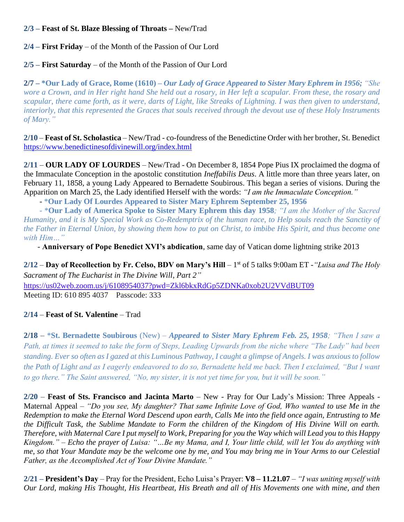### **2/3 – Feast of St. Blaze Blessing of Throats –** New**/**Trad

**2/4 – First Friday** – of the Month of the Passion of Our Lord

**2/5 – First Saturday** – of the Month of the Passion of Our Lord

**2/7 – \*Our Lady of Grace, Rome (1610) –** *Our Lady of Grace Appeared to Sister Mary Ephrem in 1956; "She wore a Crown, and in Her right hand She held out a rosary, in Her left a scapular. From these, the rosary and scapular, there came forth, as it were, darts of Light, like Streaks of Lightning. I was then given to understand, interiorly, that this represented the Graces that souls received through the devout use of these Holy Instruments of Mary."*

**2/10** – **Feast of St. Scholastica** – New/Trad - co-foundress of the Benedictine Order with her brother, St. Benedict <https://www.benedictinesofdivinewill.org/index.html>

**2/11** – **OUR LADY OF LOURDES** – New/Trad - On December 8, 1854 Pope Pius IX proclaimed the dogma of the Immaculate Conception in the apostolic constitution *Ineffabilis Deus*. A little more than three years later, on February 11, 1858, a young Lady Appeared to Bernadette Soubirous. This began a series of visions. During the Apparition on March 25, the Lady identified Herself with the words: *"I am the Immaculate Conception."*

- \***Our Lady Of Lourdes Appeared to Sister Mary Ephrem September 25, 1956**

 - \***Our Lady of America Spoke to Sister Mary Ephrem this day 1958***; "I am the Mother of the Sacred Humanity, and it is My Special Work as Co-Redemptrix of the human race, to Help souls reach the Sanctity of the Father in Eternal Union, by showing them how to put on Christ, to imbibe His Spirit, and thus become one with Him…"*

- **Anniversary of Pope Benedict XVI's abdication**, same day of Vatican dome lightning strike 2013

**2/12** – **Day of Recollection by Fr. Celso, BDV on Mary's Hill** – 1 st of 5 talks 9:00am ET -*"Luisa and The Holy Sacrament of The Eucharist in The Divine Will, Part 2"*

[https://us02web.zoom.us/j/6108954037?pwd=Zkl6bkxRdGp5ZDNKa0xob2U2VVdBUT09](https://na01.safelinks.protection.outlook.com/?url=https%3A%2F%2Fwww.google.com%2Furl%3Fq%3Dhttps%3A%2F%2Fus02web.zoom.us%2Fj%2F6108954037%3Fpwd%253DZkl6bkxRdGp5ZDNKa0xob2U2VVdBUT09%26sa%3DD%26source%3Dcalendar%26ust%3D1601847677486000%26usg%3DAOvVaw1W6iaWwiF-hLYnYU1tzjgI&data=04%7C01%7C%7C91b76f2b61fa4f31149908d8aa05faa8%7C84df9e7fe9f640afb435aaaaaaaaaaaa%7C1%7C0%7C637446289974480320%7CUnknown%7CTWFpbGZsb3d8eyJWIjoiMC4wLjAwMDAiLCJQIjoiV2luMzIiLCJBTiI6Ik1haWwiLCJXVCI6Mn0%3D%7C1000&sdata=96uzOzxVxXEWzuVbkQ3HoQMw3rrgf%2F3mEIQNPn3L4vc%3D&reserved=0) Meeting ID: 610 895 4037 Passcode: 333

## **2/14** – **Feast of St. Valentine** – Trad

**2/18** – \***St. Bernadette Soubirous** (New) – *Appeared to Sister Mary Ephrem Feb. 25, 1958; "Then I saw a Path, at times it seemed to take the form of Steps, Leading Upwards from the niche where "The Lady" had been standing. Ever so often as I gazed at this Luminous Pathway, I caught a glimpse of Angels. I was anxious to follow the Path of Light and as I eagerly endeavored to do so, Bernadette held me back. Then I exclaimed, "But I want to go there." The Saint answered, "No, my sister, it is not yet time for you, but it will be soon."* 

**2/20** – **Feast of Sts. Francisco and Jacinta Marto** – New - Pray for Our Lady's Mission: Three Appeals - Maternal Appeal *– "Do you see, My daughter? That same Infinite Love of God, Who wanted to use Me in the Redemption to make the Eternal Word Descend upon earth, Calls Me into the field once again, Entrusting to Me the Difficult Task, the Sublime Mandate to Form the children of the Kingdom of His Divine Will on earth. Therefore, with Maternal Care I put myself to Work, Preparing for you the Way which will Lead you to this Happy Kingdom." – Echo the prayer of Luisa: "…Be my Mama, and I, Your little child, will let You do anything with me, so that Your Mandate may be the welcome one by me, and You may bring me in Your Arms to our Celestial Father, as the Accomplished Act of Your Divine Mandate."*

**2/21 – President's Day** – Pray for the President, Echo Luisa's Prayer: **V8 – 11.21.07** – *"I was uniting myself with Our Lord, making His Thought, His Heartbeat, His Breath and all of His Movements one with mine, and then*